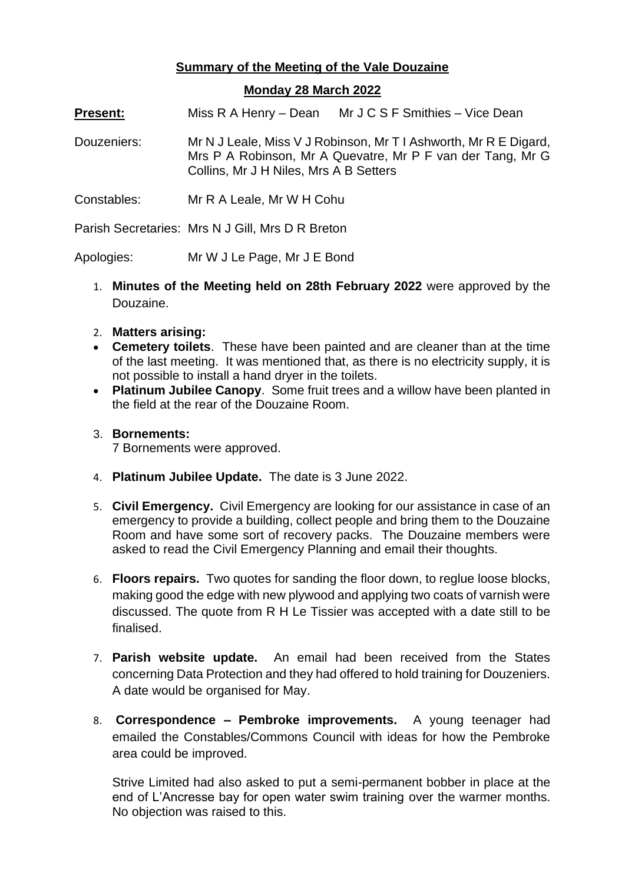## **Summary of the Meeting of the Vale Douzaine**

## **Monday 28 March 2022**

**Present:** Miss R A Henry – Dean Mr J C S F Smithies – Vice Dean

- Douzeniers: Mr N J Leale, Miss V J Robinson, Mr T I Ashworth, Mr R E Digard, Mrs P A Robinson, Mr A Quevatre, Mr P F van der Tang, Mr G Collins, Mr J H Niles, Mrs A B Setters
- Constables: Mr R A Leale, Mr W H Cohu

Parish Secretaries: Mrs N J Gill, Mrs D R Breton

Apologies: Mr W J Le Page, Mr J E Bond

- 1. **Minutes of the Meeting held on 28th February 2022** were approved by the Douzaine.
- 2. **Matters arising:**
- **Cemetery toilets**. These have been painted and are cleaner than at the time of the last meeting. It was mentioned that, as there is no electricity supply, it is not possible to install a hand dryer in the toilets.
- **Platinum Jubilee Canopy**. Some fruit trees and a willow have been planted in the field at the rear of the Douzaine Room.

## 3. **Bornements:**

7 Bornements were approved.

- 4. **Platinum Jubilee Update.** The date is 3 June 2022.
- 5. **Civil Emergency.** Civil Emergency are looking for our assistance in case of an emergency to provide a building, collect people and bring them to the Douzaine Room and have some sort of recovery packs. The Douzaine members were asked to read the Civil Emergency Planning and email their thoughts.
- 6. **Floors repairs.** Two quotes for sanding the floor down, to reglue loose blocks, making good the edge with new plywood and applying two coats of varnish were discussed. The quote from R H Le Tissier was accepted with a date still to be finalised.
- 7. **Parish website update.** An email had been received from the States concerning Data Protection and they had offered to hold training for Douzeniers. A date would be organised for May.
- 8. **Correspondence – Pembroke improvements.** A young teenager had emailed the Constables/Commons Council with ideas for how the Pembroke area could be improved.

Strive Limited had also asked to put a semi-permanent bobber in place at the end of L'Ancresse bay for open water swim training over the warmer months. No objection was raised to this.